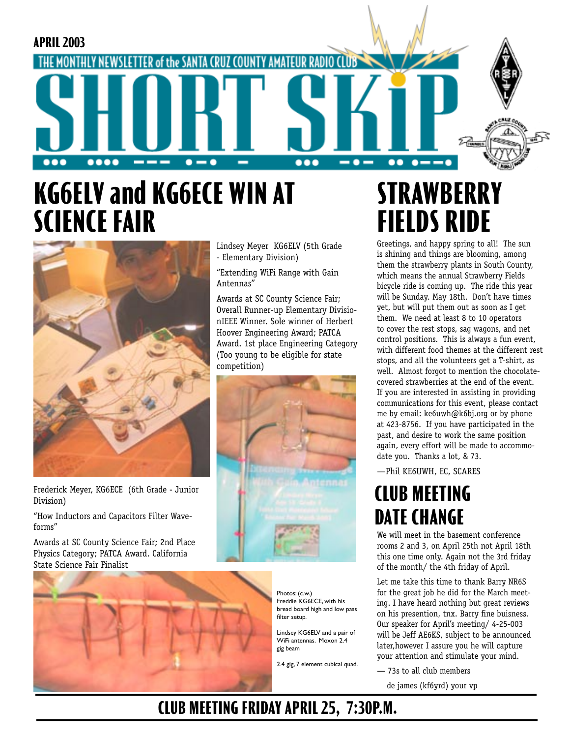

# **KG6ELV and KG6ECE WIN AT SCIENCE FAIR**



Frederick Meyer, KG6ECE (6th Grade - Junior Division)

"How Inductors and Capacitors Filter Waveforms"

Awards at SC County Science Fair; 2nd Place Physics Category; PATCA Award. California State Science Fair Finalist



Lindsey Meyer KG6ELV (5th Grade - Elementary Division)

"Extending WiFi Range with Gain Antennas"

Awards at SC County Science Fair; Overall Runner-up Elementary DivisionIEEE Winner. Sole winner of Herbert Hoover Engineering Award; PATCA Award. 1st place Engineering Category (Too young to be eligible for state competition)



Photos: (c.w.) Freddie KG6ECE, with his bread board high and low pass filter setup.

Lindsey KG6ELV and a pair of WiFi antennas. Moxon 2.4 gig beam

2.4 gig, 7 element cubical quad.

# **STRAWBERRY FIELDS RIDE**

Greetings, and happy spring to all! The sun is shining and things are blooming, among them the strawberry plants in South County, which means the annual Strawberry Fields bicycle ride is coming up. The ride this year will be Sunday. May 18th. Don't have times yet, but will put them out as soon as I get them. We need at least 8 to 10 operators to cover the rest stops, sag wagons, and net control positions. This is always a fun event, with different food themes at the different rest stops, and all the volunteers get a T-shirt, as well. Almost forgot to mention the chocolatecovered strawberries at the end of the event. If you are interested in assisting in providing communications for this event, please contact me by email: ke6uwh@k6bj.org or by phone at 423-8756. If you have participated in the past, and desire to work the same position again, every effort will be made to accommodate you. Thanks a lot, & 73.

—Phil KE6UWH, EC, SCARES

## **CLUB MEETING DATE CHANGE**

We will meet in the basement conference rooms 2 and 3, on April 25th not April 18th this one time only. Again not the 3rd friday of the month/ the 4th friday of April.

Let me take this time to thank Barry NR6S for the great job he did for the March meeting. I have heard nothing but great reviews on his presention, tnx. Barry fine buisness. Our speaker for April's meeting/ 4-25-003 will be Jeff AE6KS, subject to be announced later,however I assure you he will capture your attention and stimulate your mind.

— 73s to all club members

de james (kf6yrd) your vp

### **CLUB MEETING FRIDAY APRIL 25, 7:30P.M.**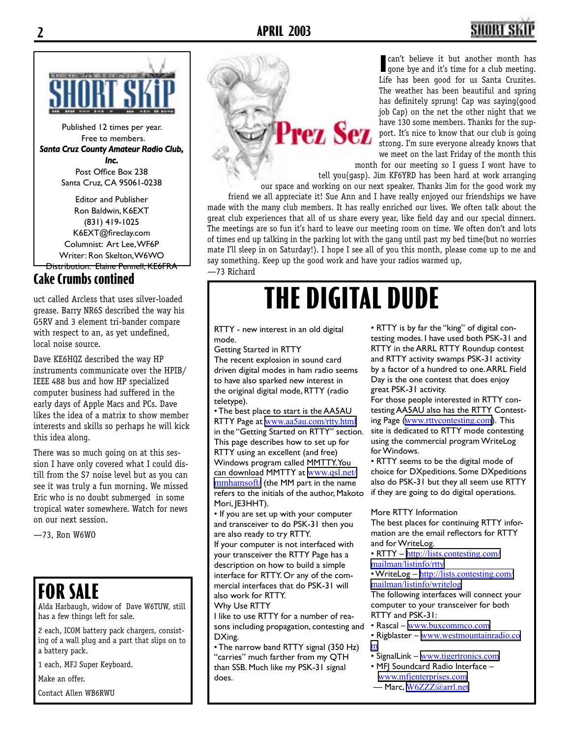## **2 APRIL 2003 3**



Published 12 times per year. Free to members. *Santa Cruz County Amateur Radio Club, Inc.* Post Office Box 238 Santa Cruz, CA 95061-0238

Editor and Publisher Ron Baldwin, K6EXT (831) 419-1025 K6EXT@fireclay.com Columnist: Art Lee, WF6P Writer: Ron Skelton, W6WO Distribution: Elaine Pennell, KE6FRA

### **Cake Crumbs contined**

grease. Barry NR6S described the way his G5RV and 3 element tri-bander compare with respect to an, as yet undefined, local noise source.

Dave KE6HQZ described the way HP instruments communicate over the HPIB/ IEEE 488 bus and how HP specialized computer business had suffered in the early days of Apple Macs and PCs. Dave likes the idea of a matrix to show member interests and skills so perhaps he will kick this idea along.

There was so much going on at this session I have only covered what I could distill from the S7 noise level but as you can see it was truly a fun morning. We missed Eric who is no doubt submerged in some tropical water somewhere. Watch for news on our next session.

—73, Ron W6WO

### **FOR SALE**

Alda Harbaugh, widow of Dave W6TUW, still has a few things left for sale.

2 each, ICOM battery pack chargers, consisting of a wall plug and a part that slips on to a battery pack.

1 each, MFJ Super Keyboard.

Make an offer.

Contact Allen WB6RWU

**I** can't believe it but another month has gone bye and it's time for a club meeting. gone bye and it's time for a club meeting. Life has been good for us Santa Cruzites. The weather has been beautiful and spring has definitely sprung! Cap was saying(good job Cap) on the net the other night that we have 130 some members. Thanks for the sup-**Prez Sez** port. It's nice to know that our club is going strong. I'm sure everyone already knows that we meet on the last Friday of the month this

> month for our meeting so I guess I wont have to tell you(gasp). Jim KF6YRD has been hard at work arranging

our space and working on our next speaker. Thanks Jim for the good work my friend we all appreciate it! Sue Ann and I have really enjoyed our friendships we have made with the many club members. It has really enriched our lives. We often talk about the great club experiences that all of us share every year, like field day and our special dinners. The meetings are so fun it's hard to leave our meeting room on time. We often don't and lots of times end up talking in the parking lot with the gang until past my bed time(but no worries mate I'll sleep in on Saturday!). I hope I see all of you this month, please come up to me and say something. Keep up the good work and have your radios warmed up, —73 Richard

# uct called Arcless that uses silver-loaded **THE DIGITAL DUDE**

RTTY - new interest in an old digital mode.

Getting Started in RTTY

The recent explosion in sound card driven digital modes in ham radio seems to have also sparked new interest in the original digital mode, RTTY (radio teletype).

• The best place to start is the AA5AU RTTY Page at [www.aa5au.com/rtty.html](http://www.aa5au.com/rtty.html) in the "Getting Started on RTTY" section. This page describes how to set up for RTTY using an excellent (and free) Windows program called MMTTY. You can download MMTTY at [www.qsl.net/](http://www.qsl.net/mmhamsoft/) [mmhamsoft/](http://www.qsl.net/mmhamsoft/) (the MM part in the name refers to the initials of the author, Makoto Mori, JE3HHT).

• If you are set up with your computer and transceiver to do PSK-31 then you are also ready to try RTTY.

If your computer is not interfaced with your transceiver the RTTY Page has a description on how to build a simple interface for RTTY. Or any of the commercial interfaces that do PSK-31 will also work for RTTY.

Why Use RTTY

I like to use RTTY for a number of reasons including propagation, contesting and DXing.

• The narrow band RTTY signal (350 Hz) "carries" much farther from my QTH than SSB. Much like my PSK-31 signal does.

• RTTY is by far the "king" of digital contesting modes. I have used both PSK-31 and RTTY in the ARRL RTTY Roundup contest and RTTY activity swamps PSK-31 activity by a factor of a hundred to one. ARRL Field Day is the one contest that does enjoy great PSK-31 activity.

For those people interested in RTTY contesting AA5AU also has the RTTY Contesting Page ([www.rttycontesting.com](http://www.rttycontesting.com)). This site is dedicated to RTTY mode contesting using the commercial program WriteLog for Windows.

• RTTY seems to be the digital mode of choice for DXpeditions. Some DXpeditions also do PSK-31 but they all seem use RTTY if they are going to do digital operations.

More RTTY Information

The best places for continuing RTTY information are the email reflectors for RTTY and for WriteLog.

• RTTY – [http://lists.contesting.com/](http://lists.contesting.com/mailman/listinfo/rtty) [mailman/listinfo/rtty](http://lists.contesting.com/mailman/listinfo/rtty)

• WriteLog - [http://lists.contesting.com/](http://lists.contesting.com/mailman/listinfo/writelog) [mailman/listinfo/writelog](http://lists.contesting.com/mailman/listinfo/writelog)

The following interfaces will connect your computer to your transceiver for both RTTY and PSK-31:

• Rascal – [www.buxcommco.com](http://www.buxcommco.com)

• Rigblaster – [www.westmountainradio.co](http://www.westmountainradio.com) [m](http://www.westmountainradio.com)

- SignalLink [www.tigertronics.com](http://www.tigertronics.com)
- MFJ Soundcard Radio Interface [www.mfjenterprises.com](http://www.mfjenterprises.com)
- Marc, [W6ZZZ@arrl.net](mailto:W6ZZZ@arrl.net)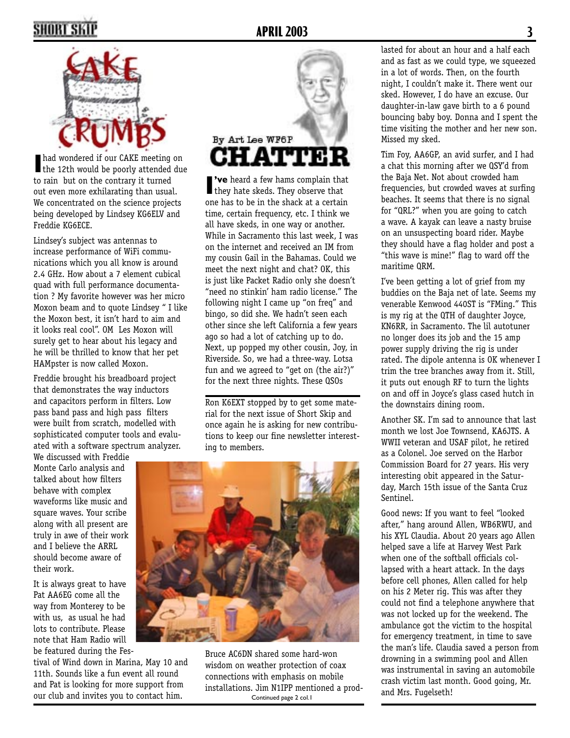## **2 APRIL 2003 3**



I had wondered if our CAKE meeting on the 12th would be poorly attended due to rain but on the contrary it turned out even more exhilarating than usual. We concentrated on the science projects being developed by Lindsey KG6ELV and Freddie KG6ECE.

Lindsey's subject was antennas to increase performance of WiFi communications which you all know is around 2.4 GHz. How about a 7 element cubical quad with full performance documentation ? My favorite however was her micro Moxon beam and to quote Lindsey " I like the Moxon best, it isn't hard to aim and it looks real cool". OM Les Moxon will surely get to hear about his legacy and he will be thrilled to know that her pet HAMpster is now called Moxon.

Freddie brought his breadboard project that demonstrates the way inductors and capacitors perform in filters. Low pass band pass and high pass filters were built from scratch, modelled with sophisticated computer tools and evaluated with a software spectrum analyzer.

We discussed with Freddie Monte Carlo analysis and talked about how filters behave with complex waveforms like music and square waves. Your scribe along with all present are truly in awe of their work and I believe the ARRL should become aware of their work.

It is always great to have Pat AA6EG come all the way from Monterey to be with us, as usual he had lots to contribute. Please note that Ham Radio will be featured during the Fes-

tival of Wind down in Marina, May 10 and 11th. Sounds like a fun event all round and Pat is looking for more support from our club and invites you to contact him.



**I've** heard a few hams complain that they hate skeds. They observe that **'ve** heard a few hams complain that one has to be in the shack at a certain time, certain frequency, etc. I think we all have skeds, in one way or another. While in Sacramento this last week, I was on the internet and received an IM from my cousin Gail in the Bahamas. Could we meet the next night and chat? OK, this is just like Packet Radio only she doesn't "need no stinkin' ham radio license." The following night I came up "on freq" and bingo, so did she. We hadn't seen each other since she left California a few years ago so had a lot of catching up to do. Next, up popped my other cousin, Joy, in Riverside. So, we had a three-way. Lotsa fun and we agreed to "get on (the air?)" for the next three nights. These QSOs

Ron K6EXT stopped by to get some material for the next issue of Short Skip and once again he is asking for new contributions to keep our fine newsletter interesting to members.



Continued page 2 col.1 Bruce AC6DN shared some hard-won wisdom on weather protection of coax connections with emphasis on mobile installations. Jim N1IPP mentioned a prodlasted for about an hour and a half each and as fast as we could type, we squeezed in a lot of words. Then, on the fourth night, I couldn't make it. There went our sked. However, I do have an excuse. Our daughter-in-law gave birth to a 6 pound bouncing baby boy. Donna and I spent the time visiting the mother and her new son. Missed my sked.

Tim Foy, AA6GP, an avid surfer, and I had a chat this morning after we QSY'd from the Baja Net. Not about crowded ham frequencies, but crowded waves at surfing beaches. It seems that there is no signal for "QRL?" when you are going to catch a wave. A kayak can leave a nasty bruise on an unsuspecting board rider. Maybe they should have a flag holder and post a "this wave is mine!" flag to ward off the maritime QRM.

I've been getting a lot of grief from my buddies on the Baja net of late. Seems my venerable Kenwood 440ST is "FMing." This is my rig at the QTH of daughter Joyce, KN6RR, in Sacramento. The lil autotuner no longer does its job and the 15 amp power supply driving the rig is under rated. The dipole antenna is OK whenever I trim the tree branches away from it. Still, it puts out enough RF to turn the lights on and off in Joyce's glass cased hutch in the downstairs dining room.

Another SK. I'm sad to announce that last month we lost Joe Townsend, KA6JTS. A WWII veteran and USAF pilot, he retired as a Colonel. Joe served on the Harbor Commission Board for 27 years. His very interesting obit appeared in the Saturday, March 15th issue of the Santa Cruz Sentinel.

Good news: If you want to feel "looked after," hang around Allen, WB6RWU, and his XYL Claudia. About 20 years ago Allen helped save a life at Harvey West Park when one of the softball officials collapsed with a heart attack. In the days before cell phones, Allen called for help on his 2 Meter rig. This was after they could not find a telephone anywhere that was not locked up for the weekend. The ambulance got the victim to the hospital for emergency treatment, in time to save the man's life. Claudia saved a person from drowning in a swimming pool and Allen was instrumental in saving an automobile crash victim last month. Good going, Mr. and Mrs. Fugelseth!